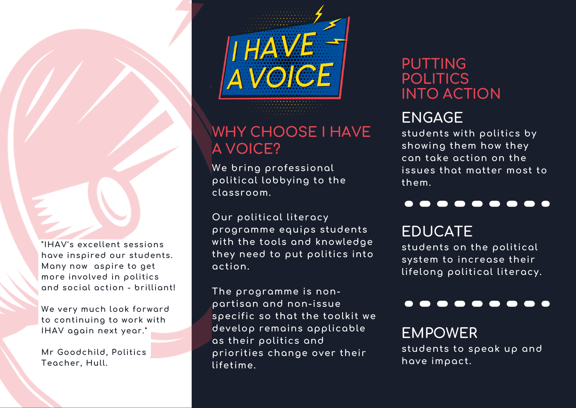**"IHAV's excellent sessions have inspired our students. Many now aspire to get more involved in politics and social action - brilliant!**

**We very much look forward to continuing to work with IHAV again next year."**

**Mr Goodchild, Politics Teacher, Hull.**



# **WHY CHOOSE I HAVE A VOICE?**

**We bring professional political lobbying to the classroom.**

**Our political literacy programme equips students with the tools and knowledge they need to put politics into action.**

**The programme is nonpartisan and non-issue specific so that the toolkit we develop remains applicable as their politics and priorities change over their lifetime.**

#### **PUTTING POLITICS INTO ACTION**

# **ENGAGE**

**students with politics by showing them how they can take action on the issues that matter most to them.**

#### . . . . . . . . .

# **EDUCATE**

**students on the political system to increase their lifelong political literacy.**

### **EMPOWER**

**students to speak up and have impact.**